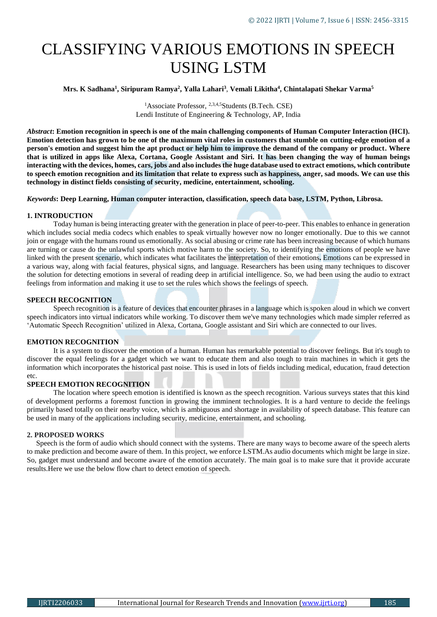# CLASSIFYING VARIOUS EMOTIONS IN SPEECH USING LSTM

**Mrs. K Sadhana<sup>1</sup> , Siripuram Ramya<sup>2</sup> , Yalla Lahari<sup>3</sup>** , **Vemali Likitha<sup>4</sup> , Chintalapati Shekar Varma<sup>5</sup>**

<sup>1</sup>Associate Professor, <sup>2,3,4,5</sup>Students (B.Tech. CSE) Lendi Institute of Engineering & Technology, AP, India

*Abstract***: Emotion recognition in speech is one of the main challenging components of Human Computer Interaction (HCI). Emotion detection has grown to be one of the maximum vital roles in customers that stumble on cutting-edge emotion of a person's emotion and suggest him the apt product or help him to improve the demand of the company or product. Where that is utilized in apps like Alexa, Cortana, Google Assistant and Siri. It has been changing the way of human beings interacting with the devices, homes, cars, jobs and also includesthe huge database used to extract emotions, which contribute to speech emotion recognition and its limitation that relate to express such as happiness, anger, sad moods. We can use this technology in distinct fields consisting of security, medicine, entertainment, schooling.** 

*Keywords***: Deep Learning, Human computer interaction, classification, speech data base, LSTM, Python, Librosa.**

#### **1. INTRODUCTION**

Today human is being interacting greater with the generation in place of peer-to-peer. This enables to enhance in generation which includes social media codecs which enables to speak virtually however now no longer emotionally. Due to this we cannot join or engage with the humans round us emotionally. As social abusing or crime rate has been increasing because of which humans are turning or cause do the unlawful sports which motive harm to the society. So, to identifying the emotions of people we have linked with the present scenario, which indicates what facilitates the interpretation of their emotions**.** Emotions can be expressed in a various way, along with facial features, physical signs, and language. Researchers has been using many techniques to discover the solution for detecting emotions in several of reading deep in artificial intelligence. So, we had been using the audio to extract feelings from information and making it use to set the rules which shows the feelings of speech.

#### **SPEECH RECOGNITION**

Speech recognition is a feature of devices that encounter phrases in a language which is spoken aloud in which we convert speech indicators into virtual indicators while working. To discover them we've many technologies which made simpler referred as 'Automatic Speech Recognition' utilized in Alexa, Cortana, Google assistant and Siri which are connected to our lives.

#### **EMOTION RECOGNITION**

It is a system to discover the emotion of a human. Human has remarkable potential to discover feelings. But it's tough to discover the equal feelings for a gadget which we want to educate them and also tough to train machines in which it gets the information which incorporates the historical past noise. This is used in lots of fields including medical, education, fraud detection etc.

#### **SPEECH EMOTION RECOGNITION**

The location where speech emotion is identified is known as the speech recognition. Various surveys states that this kind of development performs a foremost function in growing the imminent technologies. It is a hard venture to decide the feelings primarily based totally on their nearby voice, which is ambiguous and shortage in availability of speech database. This feature can be used in many of the applications including security, medicine, entertainment, and schooling.

#### **2. PROPOSED WORKS**

 Speech is the form of audio which should connect with the systems. There are many ways to become aware of the speech alerts to make prediction and become aware of them. In this project, we enforce LSTM.As audio documents which might be large in size. So, gadget must understand and become aware of the emotion accurately. The main goal is to make sure that it provide accurate results.Here we use the below flow chart to detect emotion of speech.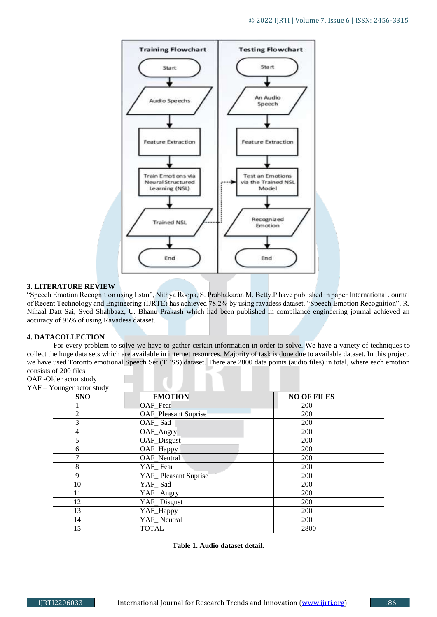

# **3. LITERATURE REVIEW**

"Speech Emotion Recognition using Lstm", Nithya Roopa, S. Prabhakaran M, Betty.P have published in paper International Journal of Recent Technology and Engineering (IJRTE) has achieved 78.2% by using ravadess dataset. "Speech Emotion Recognition", R. Nihaal Datt Sai, Syed Shahbaaz, U. Bhanu Prakash which had been published in compilance engineering journal achieved an accuracy of 95% of using Ravadess dataset.

# **4. DATACOLLECTION**

For every problem to solve we have to gather certain information in order to solve. We have a variety of techniques to collect the huge data sets which are available in internet resources. Majority of task is done due to available dataset. In this project, we have used Toronto emotional Speech Set (TESS) dataset. There are 2800 data points (audio files) in total, where each emotion consists of 200 files

# OAF -Older actor study

YAF – Younger actor study

| <b>EMOTION</b>              | <b>NO OF FILES</b> |
|-----------------------------|--------------------|
| OAF_Fear                    | 200                |
| <b>OAF_Pleasant Suprise</b> | 200                |
| OAF_Sad                     | 200                |
| OAF_Angry                   | 200                |
| OAF_Disgust                 | 200                |
| OAF_Happy                   | 200                |
| OAF_Neutral                 | <b>200</b>         |
| YAF_Fear                    | 200                |
| YAF_Pleasant Suprise        | 200                |
| YAF_Sad                     | 200                |
| YAF_Angry                   | 200                |
| YAF_Disgust                 | 200                |
| YAF_Happy                   | 200                |
| YAF_Neutral                 | 200                |
| <b>TOTAL</b>                | 2800               |
|                             |                    |

# **Table 1. Audio dataset detail.**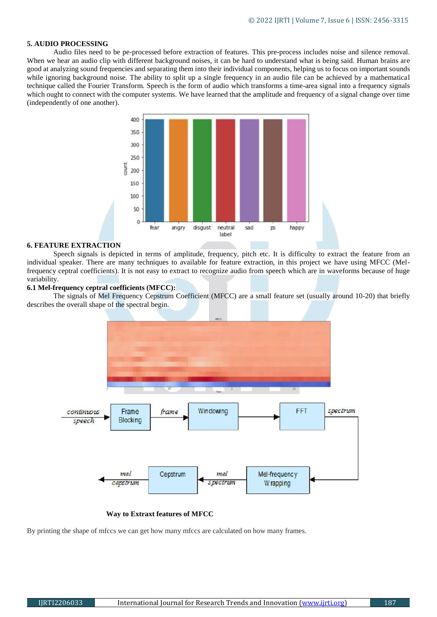# **5. AUDIO PROCESSING**

Audio files need to be pe-processed before extraction of features. This pre-process includes noise and silence removal. When we hear an audio clip with different background noises, it can be hard to understand what is being said. Human brains are good at analyzing sound frequencies and separating them into their individual components, helping us to focus on important sounds while ignoring background noise. The ability to split up a single frequency in an audio file can be achieved by a mathematical technique called the Fourier Transform. Speech is the form of audio which transforms a time-area signal into a frequency signals which ought to connect with the computer systems. We have learned that the amplitude and frequency of a signal change over time (independently of one another).



# **6. FEATURE EXTRACTION**

Speech signals is depicted in terms of amplitude, frequency, pitch etc. It is difficulty to extract the feature from an individual speaker. There are many techniques to available for feature extraction, in this project we have using MFCC (Melfrequency ceptral coefficients). It is not easy to extract to recognize audio from speech which are in waveforms because of huge variability.

# **6.1 Mel-frequency ceptral coefficients (MFCC):**

The signals of Mel Frequency Cepstrum Coefficient (MFCC) are a small feature set (usually around 10-20) that briefly describes the overall shape of the spectral begin.



#### **Way to Extraxt features of MFCC**

By printing the shape of mfccs we can get how many mfccs are calculated on how many frames.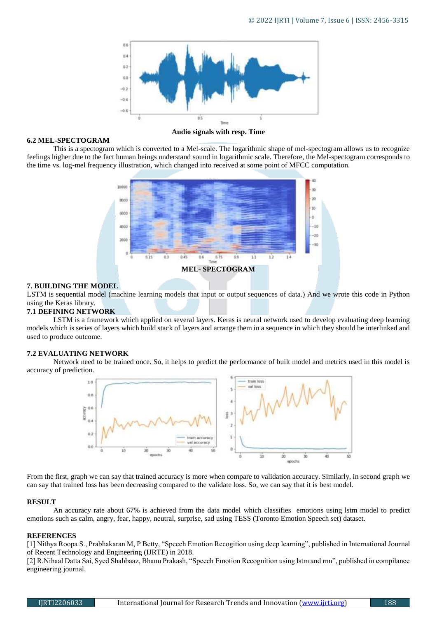

**6.2 MEL-SPECTOGRAM**

**Audio signals with resp. Time**

This is a spectogram which is converted to a Mel-scale. The logarithmic shape of mel-spectogram allows us to recognize feelings higher due to the fact human beings understand sound in logarithmic scale. Therefore, the Mel-spectogram corresponds to the time vs. log-mel frequency illustration, which changed into received at some point of MFCC computation.



#### **7. BUILDING THE MODEL**

LSTM is sequential model (machine learning models that input or output sequences of data.) And we wrote this code in Python using the Keras library.

# **7.1 DEFINING NETWORK**

LSTM is a framework which applied on several layers. Keras is neural network used to develop evaluating deep learning models which is series of layers which build stack of layers and arrange them in a sequence in which they should be interlinked and used to produce outcome.

#### **7.2 EVALUATING NETWORK**

Network need to be trained once. So, it helps to predict the performance of built model and metrics used in this model is accuracy of prediction.



From the first, graph we can say that trained accuracy is more when compare to validation accuracy. Similarly, in second graph we can say that trained loss has been decreasing compared to the validate loss. So, we can say that it is best model.

#### **RESULT**

An accuracy rate about 67% is achieved from the data model which classifies emotions using lstm model to predict emotions such as calm, angry, fear, happy, neutral, surprise, sad using TESS (Toronto Emotion Speech set) dataset.

# **REFERENCES**

[1] Nithya Roopa S., Prabhakaran M, P Betty, "Speech Emotion Recogition using deep learning", published in International Journal of Recent Technology and Engineering (IJRTE) in 2018.

[2] R.Nihaal Datta Sai, Syed Shahbaaz, Bhanu Prakash, "Speech Emotion Recognition using lstm and rnn", published in compilance engineering journal.